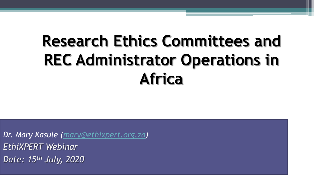# **Research Ethics Committees and REC Administrator Operations in Africa**

*Dr. Mary Kasule ([mary@ethixpert.org.za\)](mailto:mary@ethixpert.org.za) EthiXPERT Webinar Date: 15th July, 2020*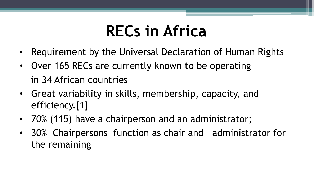# **RECs in Africa**

- Requirement by the Universal Declaration of Human Rights
- Over 165 RECs are currently known to be operating in 34 African countries
- Great variability in skills, membership, capacity, and efficiency.[1]
- 70% (115) have a chairperson and an administrator;
- 30% Chairpersons function as chair and administrator for the remaining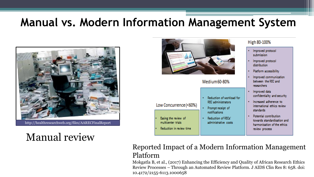#### **Manual vs. Modern Information Management System**



http://healthresearchweb.org/files/AARECFinalReport

#### Manual review



|                                                                                                  | Medium 60-80%                                                                                                                        |
|--------------------------------------------------------------------------------------------------|--------------------------------------------------------------------------------------------------------------------------------------|
| Low Concurrence (<60%)<br>Easing the review of<br>multicenter trials<br>Reduction in review time | Reduction of worklo<br><b>REC</b> administrators<br>Prompt receipt of<br>notifications<br>Reduction of RECs'<br>administrative costs |

#### High 80-100%

- Improved protocol submission
- Improved protocol distribution.
- Platform accessibility
- Improved communication between the REC and researchers
- Improved data confidentiality and security
- Increased adherence to international ethics review standards
- Potential contribution towards standardisation and harmonisation of the ethics review process

#### Reported Impact of a Modern Information Management Platform

ad for

Mokgatla B, et al., (2017) Enhancing the Efficiency and Quality of African Research Ethics Review Processes – Through an Automated Review Platform. J AIDS Clin Res 8: 658. doi: 10.4172/2155-6113.1000658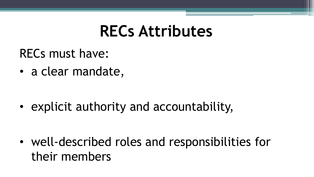# **RECs Attributes**

RECs must have:

• a clear mandate,

• explicit authority and accountability,

• well-described roles and responsibilities for their members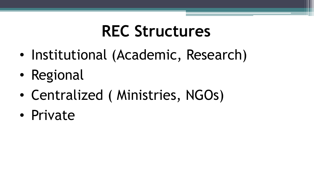# **REC Structures**

- Institutional (Academic, Research)
- Regional
- Centralized ( Ministries, NGOs)
- Private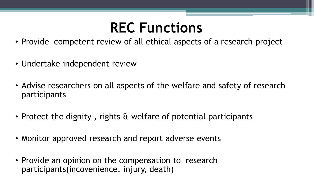### **REC Functions**

- Provide competent review of all ethical aspects of a research project
- Undertake independent review
- Advise researchers on all aspects of the welfare and safety of research participants
- Protect the dignity , rights & welfare of potential participants
- Monitor approved research and report adverse events
- Provide an opinion on the compensation to research participants(incovenience, injury, death)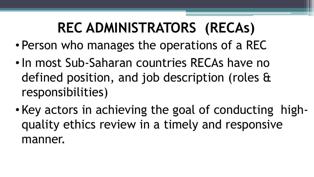# **REC ADMINISTRATORS (RECAs)**

- Person who manages the operations of a REC
- •In most Sub-Saharan countries RECAs have no defined position, and job description (roles & responsibilities)
- Key actors in achieving the goal of conducting highquality ethics review in a timely and responsive manner.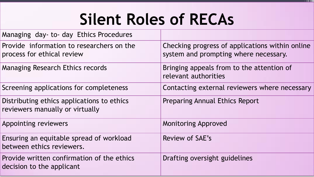# **Silent Roles of RECAs**

| Managing day- to- day Ethics Procedures                                       |                                                                                          |
|-------------------------------------------------------------------------------|------------------------------------------------------------------------------------------|
| Provide information to researchers on the<br>process for ethical review       | Checking progress of applications within online<br>system and prompting where necessary. |
| Managing Research Ethics records                                              | Bringing appeals from to the attention of<br>relevant authorities                        |
| Screening applications for completeness                                       | Contacting external reviewers where necessary                                            |
| Distributing ethics applications to ethics<br>reviewers manually or virtually | <b>Preparing Annual Ethics Report</b>                                                    |
| Appointing reviewers                                                          | <b>Monitoring Approved</b>                                                               |
| Ensuring an equitable spread of workload<br>between ethics reviewers.         | Review of SAE's                                                                          |
| Provide written confirmation of the ethics<br>decision to the applicant       | Drafting oversight guidelines                                                            |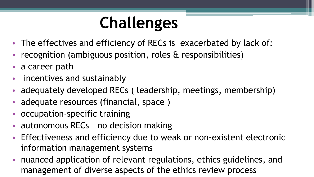# **Challenges**

- The effectives and efficiency of RECs is exacerbated by lack of:
- recognition (ambiguous position, roles & responsibilities)
- a career path
- incentives and sustainably
- adequately developed RECs ( leadership, meetings, membership)
- adequate resources (financial, space )
- occupation-specific training
- autonomous RECs no decision making
- Effectiveness and efficiency due to weak or non-existent electronic information management systems
- nuanced application of relevant regulations, ethics guidelines, and management of diverse aspects of the ethics review process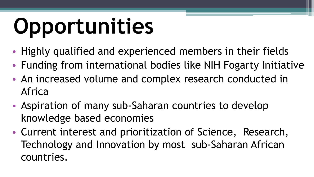# **Opportunities**

- Highly qualified and experienced members in their fields
- Funding from international bodies like NIH Fogarty Initiative
- An increased volume and complex research conducted in Africa
- Aspiration of many sub-Saharan countries to develop knowledge based economies
- Current interest and prioritization of Science, Research, Technology and Innovation by most sub-Saharan African countries.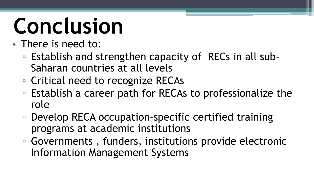# **Conclusion**

- There is need to:
	- Establish and strengthen capacity of RECs in all sub-Saharan countries at all levels
	- Critical need to recognize RECAs
	- Establish a career path for RECAs to professionalize the role
	- Develop RECA occupation-specific certified training programs at academic institutions
	- Governments , funders, institutions provide electronic Information Management Systems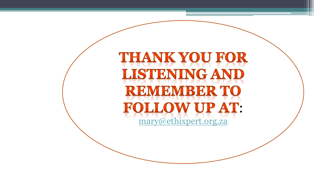### **THANK YOU FOR LISTENING AND REMEMBER TO FOLLOW UP AT:** [mary@ethixpert.org.za](mailto:mary@ethixpert.org.za)